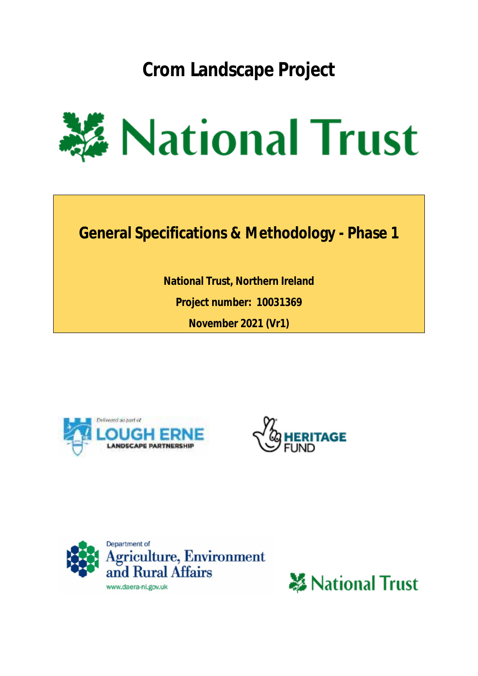**Crom Landscape Project**



**General Specifications & Methodology - Phase 1**

**National Trust, Northern Ireland Project number: 10031369 November 2021 (Vr1)**







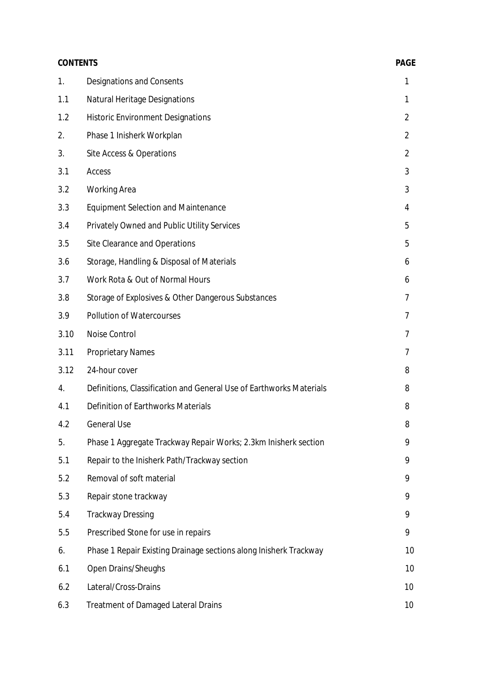|      | <b>CONTENTS</b>                                                     |                |
|------|---------------------------------------------------------------------|----------------|
| 1.   | Designations and Consents                                           | 1              |
| 1.1  | <b>Natural Heritage Designations</b>                                | 1              |
| 1.2  | <b>Historic Environment Designations</b>                            | $\overline{2}$ |
| 2.   | Phase 1 Inisherk Workplan                                           | $\overline{2}$ |
| 3.   | Site Access & Operations                                            | $\overline{2}$ |
| 3.1  | Access                                                              | 3              |
| 3.2  | <b>Working Area</b>                                                 | 3              |
| 3.3  | <b>Equipment Selection and Maintenance</b>                          | 4              |
| 3.4  | Privately Owned and Public Utility Services                         | 5              |
| 3.5  | Site Clearance and Operations                                       | 5              |
| 3.6  | Storage, Handling & Disposal of Materials                           | 6              |
| 3.7  | Work Rota & Out of Normal Hours                                     | 6              |
| 3.8  | Storage of Explosives & Other Dangerous Substances                  | 7              |
| 3.9  | Pollution of Watercourses                                           | 7              |
| 3.10 | Noise Control                                                       | 7              |
| 3.11 | <b>Proprietary Names</b>                                            | 7              |
| 3.12 | 24-hour cover                                                       | 8              |
| 4.   | Definitions, Classification and General Use of Earthworks Materials | 8              |
| 4.1  | Definition of Earthworks Materials                                  | 8              |
| 4.2  | <b>General Use</b>                                                  | 8              |
| 5.   | Phase 1 Aggregate Trackway Repair Works; 2.3km Inisherk section     | 9              |
| 5.1  | Repair to the Inisherk Path/Trackway section                        | 9              |
| 5.2  | Removal of soft material                                            | 9              |
| 5.3  | Repair stone trackway                                               | 9              |
| 5.4  | <b>Trackway Dressing</b>                                            | 9              |
| 5.5  | Prescribed Stone for use in repairs                                 | 9              |
| 6.   | Phase 1 Repair Existing Drainage sections along Inisherk Trackway   | 10             |
| 6.1  | Open Drains/Sheughs                                                 | 10             |
| 6.2  | Lateral/Cross-Drains                                                | 10             |
| 6.3  | <b>Treatment of Damaged Lateral Drains</b>                          | 10             |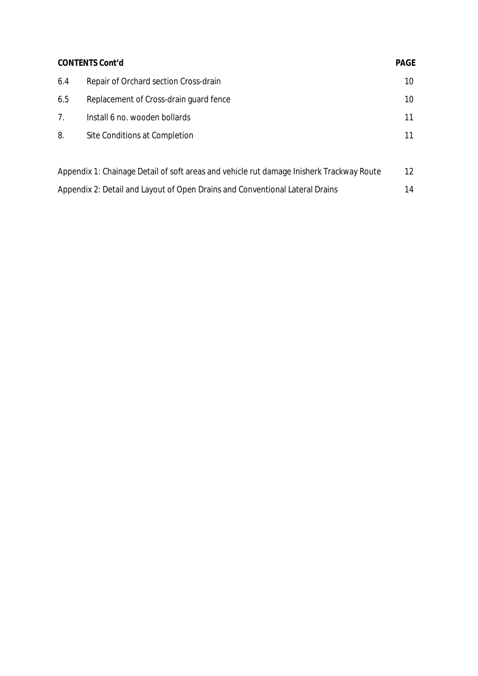| <b>CONTENTS Cont'd</b>                                                                   |                                        | <b>PAGE</b>     |
|------------------------------------------------------------------------------------------|----------------------------------------|-----------------|
| 6.4                                                                                      | Repair of Orchard section Cross-drain  | 10              |
| 6.5                                                                                      | Replacement of Cross-drain guard fence | 10              |
| 7.                                                                                       | Install 6 no. wooden bollards          | 11              |
| 8.                                                                                       | Site Conditions at Completion          | 11              |
|                                                                                          |                                        |                 |
| Appendix 1: Chainage Detail of soft areas and vehicle rut damage Inisherk Trackway Route |                                        | 12 <sup>2</sup> |
| Appendix 2: Detail and Layout of Open Drains and Conventional Lateral Drains             |                                        | 14              |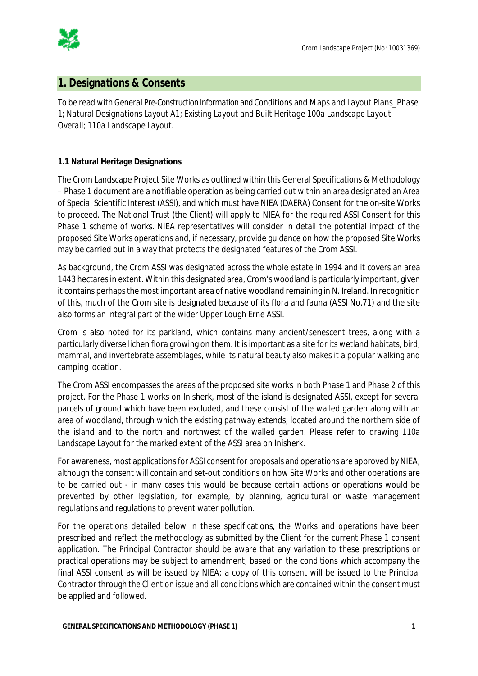

## **1. Designations & Consents**

To be read with *General Pre-Construction Information and Conditions* and *Maps and Layout Plans\_Phase 1*; *Natural Designations Layout A1; Existing Layout and Built Heritage 100a Landscape Layout Overall; 110a Landscape Layout.*

## **1.1 Natural Heritage Designations**

The Crom Landscape Project Site Works as outlined within this General Specifications & Methodology – Phase 1 document are a notifiable operation as being carried out within an area designated an *Area of Special Scientific Interest* (ASSI), and which must have NIEA (DAERA) Consent for the on-site Works to proceed. The National Trust (the Client) will apply to NIEA for the required ASSI Consent for this Phase 1 scheme of works. NIEA representatives will consider in detail the potential impact of the proposed Site Works operations and, if necessary, provide guidance on how the proposed Site Works may be carried out in a way that protects the designated features of the Crom ASSI.

As background, the Crom ASSI was designated across the whole estate in 1994 and it covers an area 1443 hectaresin extent. Within this designated area, Crom's woodland is particularly important, given it contains perhaps the most important area of native woodland remaining in N. Ireland. In recognition of this, much of the Crom site is designated because of its flora and fauna (ASSI No.71) and the site also forms an integral part of the wider Upper Lough Erne ASSI.

Crom is also noted for its parkland, which contains many ancient/senescent trees, along with a particularly diverse lichen flora growing on them. It is important as a site for its wetland habitats, bird, mammal, and invertebrate assemblages, while its natural beauty also makes it a popular walking and camping location.

The Crom ASSI encompasses the areas of the proposed site works in both Phase 1 and Phase 2 of this project. For the Phase 1 works on Inisherk, most of the island is designated ASSI, except for several parcels of ground which have been excluded, and these consist of the walled garden along with an area of woodland, through which the existing pathway extends, located around the northern side of the island and to the north and northwest of the walled garden. Please refer to drawing 110a Landscape Layout for the marked extent of the ASSI area on Inisherk.

For awareness, most applications for ASSI consent for proposals and operations are approved by NIEA, although the consent will contain and set-out conditions on how Site Works and other operations are to be carried out - in many cases this would be because certain actions or operations would be prevented by other legislation, for example, by planning, agricultural or waste management regulations and regulations to prevent water pollution.

For the operations detailed below in these specifications, the Works and operations have been prescribed and reflect the methodology as submitted by the Client for the current Phase 1 consent application. The Principal Contractor should be aware that any variation to these prescriptions or practical operations may be subject to amendment, based on the conditions which accompany the final ASSI consent as will be issued by NIEA; a copy of this consent will be issued to the Principal Contractor through the Client on issue and all conditions which are contained within the consent must be applied and followed.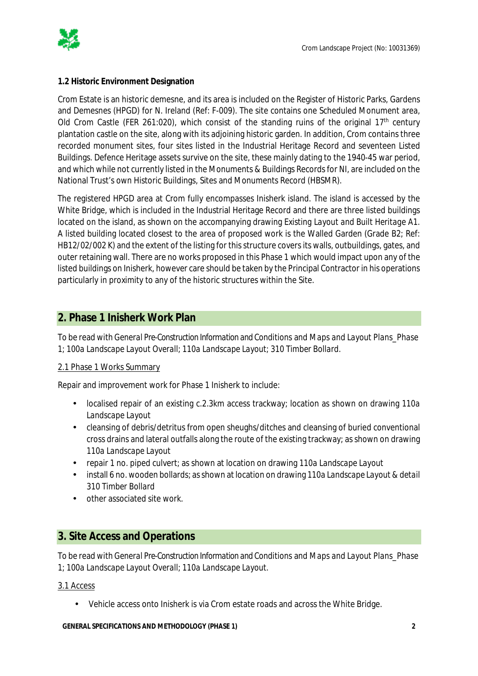

### **1.2 Historic Environment Designation**

Crom Estate is an historic demesne, and its area is included on the Register of Historic Parks, Gardens and Demesnes (HPGD) for N. Ireland (Ref: F-009). The site contains one Scheduled Monument area, Old Crom Castle (FER 261:020), which consist of the standing ruins of the original 17<sup>th</sup> century plantation castle on the site, along with its adjoining historic garden. In addition, Crom contains three recorded monument sites, four sites listed in the Industrial Heritage Record and seventeen Listed Buildings. Defence Heritage assets survive on the site, these mainly dating to the 1940-45 war period, and which while not currently listed in the Monuments & Buildings Records for NI, are included on the National Trust's own Historic Buildings, Sites and Monuments Record (HBSMR).

The registered HPGD area at Crom fully encompasses Inisherk island. The island is accessed by the White Bridge, which is included in the Industrial Heritage Record and there are three listed buildings located on the island, as shown on the accompanying drawing *Existing Layout and Built Heritage A1*. A listed building located closest to the area of proposed work is the Walled Garden (Grade B2; Ref: HB12/02/002 K) and the extent of the listing for this structure covers its walls, outbuildings, gates, and outer retaining wall. There are no works proposed in this Phase 1 which would impact upon any of the listed buildings on Inisherk, however care should be taken by the Principal Contractor in his operations particularly in proximity to any of the historic structures within the Site.

## **2. Phase 1 Inisherk Work Plan**

To be read with *General Pre-Construction Information and Conditions* and *Maps and Layout Plans\_Phase 1*; *100a Landscape Layout Overall; 110a Landscape Layout; 310 Timber Bollard*.

### 2.1 Phase 1 Works Summary

Repair and improvement work for Phase 1 Inisherk to include:

- localised repair of an existing c.2.3km access trackway; location as shown on drawing *110a Landscape Layout*
- cleansing of debris/detritus from open sheughs/ditches and cleansing of buried conventional  $\mathcal{L}^{\text{max}}$ cross drains and lateral outfalls along the route of the existing trackway; as shown on drawing *110a Landscape Layout*
- repair 1 no. piped culvert; as shown at location on drawing *110a Landscape Layout*
- install 6 no. wooden bollards; as shown at location on drawing *110a Landscape Layout & detail 310 Timber Bollard*
- other associated site work.

## **3. Site Access and Operations**

To be read with *General Pre-Construction Information and Conditions* and *Maps and Layout Plans\_Phase 1*; *100a Landscape Layout Overall; 110a Landscape Layout*.

### 3.1 Access

Vehicle access onto Inisherk is via Crom estate roads and across the White Bridge.

**GENERAL SPECIFICATIONS AND METHODOLOGY (PHASE 1) 2**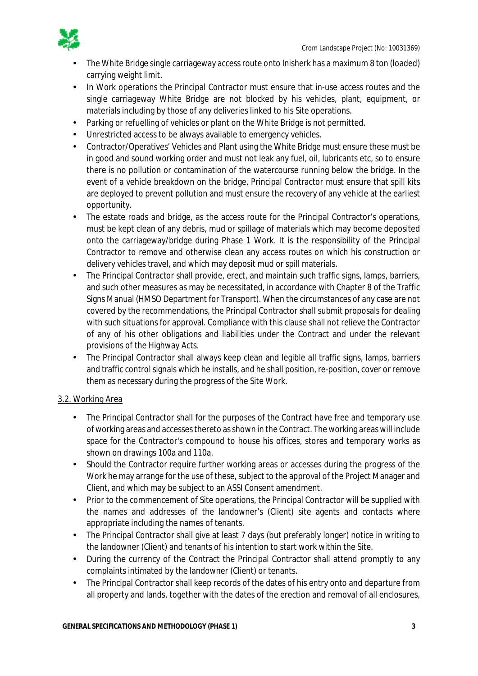

- The White Bridge single carriageway access route onto Inisherk has a maximum 8 ton (loaded) carrying weight limit.
- In Work operations the Principal Contractor must ensure that in-use access routes and the  $\mathbf{r}$ single carriageway White Bridge are not blocked by his vehicles, plant, equipment, or materials including by those of any deliveries linked to his Site operations.
- Parking or refuelling of vehicles or plant on the White Bridge is not permitted. t.
- Unrestricted access to be always available to emergency vehicles.
- Contractor/Operatives' Vehicles and Plant using the White Bridge must ensure these must be in good and sound working order and must not leak any fuel, oil, lubricants etc, so to ensure there is no pollution or contamination of the watercourse running below the bridge. In the event of a vehicle breakdown on the bridge, Principal Contractor must ensure that spill kits are deployed to prevent pollution and must ensure the recovery of any vehicle at the earliest opportunity.
- The estate roads and bridge, as the access route for the Principal Contractor's operations, must be kept clean of any debris, mud or spillage of materials which may become deposited onto the carriageway/bridge during Phase 1 Work. It is the responsibility of the Principal Contractor to remove and otherwise clean any access routes on which his construction or delivery vehicles travel, and which may deposit mud or spill materials.
- The Principal Contractor shall provide, erect, and maintain such traffic signs, lamps, barriers, t. and such other measures as may be necessitated, in accordance with Chapter 8 of the Traffic Signs Manual (HMSO Department for Transport). When the circumstances of any case are not covered by the recommendations, the Principal Contractor shall submit proposals for dealing with such situations for approval. Compliance with this clause shall not relieve the Contractor of any of his other obligations and liabilities under the Contract and under the relevant provisions of the Highway Acts.
- The Principal Contractor shall always keep clean and legible all traffic signs, lamps, barriers l, and traffic control signals which he installs, and he shall position, re-position, cover or remove them as necessary during the progress of the Site Work.

## 3.2. Working Area

- The Principal Contractor shall for the purposes of the Contract have free and temporary use of working areas and accesses thereto as shown in the Contract. The working areas will include space for the Contractor's compound to house his offices, stores and temporary works as shown on drawings 100a and 110a.
- Should the Contractor require further working areas or accesses during the progress of the ä, Work he may arrange for the use of these, subject to the approval of the Project Manager and Client, and which may be subject to an ASSI Consent amendment.
- t. Prior to the commencement of Site operations, the Principal Contractor will be supplied with the names and addresses of the landowner's (Client) site agents and contacts where appropriate including the names of tenants.
- The Principal Contractor shall give at least 7 days (but preferably longer) notice in writing to the landowner (Client) and tenants of his intention to start work within the Site.
- During the currency of the Contract the Principal Contractor shall attend promptly to any  $\mathbf{r}$ complaints intimated by the landowner (Client) or tenants.
- $\mathcal{L}^{\pm}$ The Principal Contractor shall keep records of the dates of his entry onto and departure from all property and lands, together with the dates of the erection and removal of all enclosures,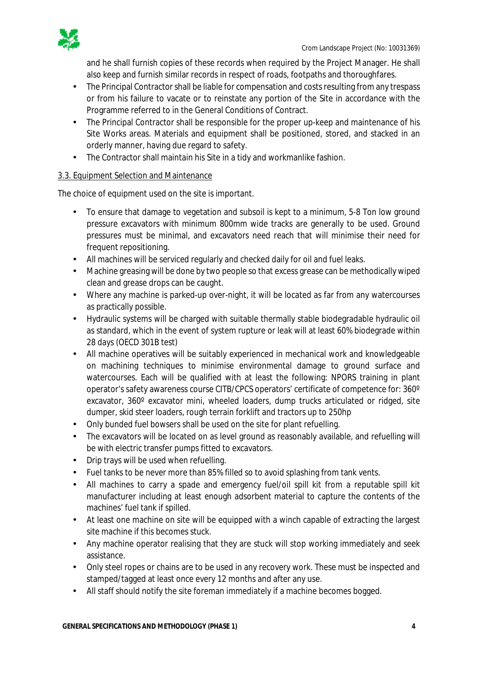

and he shall furnish copies of these records when required by the Project Manager. He shall also keep and furnish similar records in respect of roads, footpaths and thoroughfares.

- χ. The Principal Contractor shall be liable for compensation and costs resulting from any trespass or from his failure to vacate or to reinstate any portion of the Site in accordance with the Programme referred to in the General Conditions of Contract.
- The Principal Contractor shall be responsible for the proper up-keep and maintenance of his  $\mathcal{L}^{\text{max}}$ Site Works areas. Materials and equipment shall be positioned, stored, and stacked in an orderly manner, having due regard to safety.
- The Contractor shall maintain his Site in a tidy and workmanlike fashion. ä,

### 3.3. Equipment Selection and Maintenance

The choice of equipment used on the site is important.

- To ensure that damage to vegetation and subsoil is kept to a minimum, 5-8 Ton low ground pressure excavators with minimum 800mm wide tracks are generally to be used. Ground pressures must be minimal, and excavators need reach that will minimise their need for frequent repositioning.
- All machines will be serviced regularly and checked daily for oil and fuel leaks.
- Machine greasing will be done by two people so that excess grease can be methodically wiped clean and grease drops can be caught.
- Where any machine is parked-up over-night, it will be located as far from any watercourses  $\mathcal{L}^{\text{max}}$ as practically possible.
- Hydraulic systems will be charged with suitable thermally stable biodegradable hydraulic oil as standard, which in the event of system rupture or leak will at least 60% biodegrade within 28 days (OECD 301B test)
- All machine operatives will be suitably experienced in mechanical work and knowledgeable on machining techniques to minimise environmental damage to ground surface and watercourses. Each will be qualified with at least the following: NPORS training in plant operator's safety awareness course CITB/CPCS operators' certificate of competence for: 360º excavator, 360º excavator mini, wheeled loaders, dump trucks articulated or ridged, site dumper, skid steer loaders, rough terrain forklift and tractors up to 250hp
- Only bunded fuel bowsers shall be used on the site for plant refuelling.  $\mathbf{r}$
- The excavators will be located on as level ground as reasonably available, and refuelling will be with electric transfer pumps fitted to excavators.
- Drip trays will be used when refuelling.  $\mathbf{r}$
- Fuel tanks to be never more than 85% filled so to avoid splashing from tank vents.
- All machines to carry a spade and emergency fuel/oil spill kit from a reputable spill kit manufacturer including at least enough adsorbent material to capture the contents of the machines' fuel tank if spilled.
- At least one machine on site will be equipped with a winch capable of extracting the largest  $\mathbf{r}$ site machine if this becomes stuck.
- Any machine operator realising that they are stuck will stop working immediately and seek assistance.
- Only steel ropes or chains are to be used in any recovery work. These must be inspected and stamped/tagged at least once every 12 months and after any use.
- All staff should notify the site foreman immediately if a machine becomes bogged.  $\mathcal{L}_{\mathcal{A}}$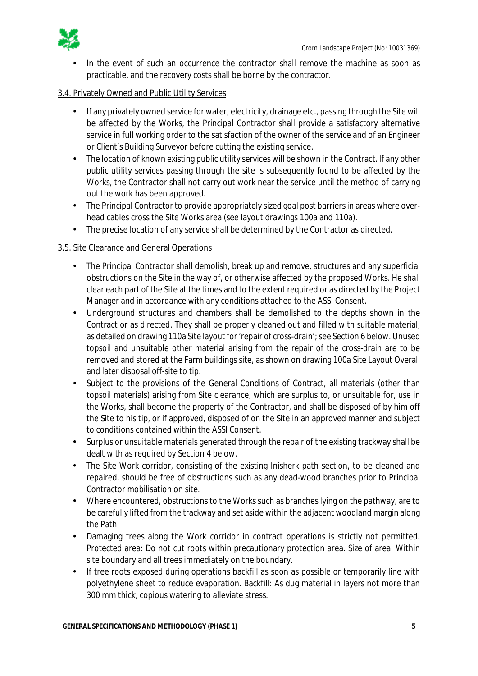

In the event of such an occurrence the contractor shall remove the machine as soon as practicable, and the recovery costs shall be borne by the contractor.

### 3.4. Privately Owned and Public Utility Services

- If any privately owned service for water, electricity, drainage etc., passing through the Site will be affected by the Works, the Principal Contractor shall provide a satisfactory alternative service in full working order to the satisfaction of the owner of the service and of an Engineer or Client's Building Surveyor before cutting the existing service.
- The location of known existing public utility services will be shown in the Contract. If any other Ŷ. public utility services passing through the site is subsequently found to be affected by the Works, the Contractor shall not carry out work near the service until the method of carrying out the work has been approved.
- The Principal Contractor to provide appropriately sized goal post barriers in areas where over- $\mathcal{L}^{\mathcal{L}}$ head cables cross the Site Works area (see layout drawings 100a and 110a).
- The precise location of any service shall be determined by the Contractor as directed.  $\mathcal{L}^{\pm}$

### 3.5. Site Clearance and General Operations

- The Principal Contractor shall demolish, break up and remove, structures and any superficial obstructions on the Site in the way of, or otherwise affected by the proposed Works. He shall clear each part of the Site at the times and to the extent required or as directed by the Project Manager and in accordance with any conditions attached to the ASSI Consent.
- Underground structures and chambers shall be demolished to the depths shown in the  $\mathbf{r}$ Contract or as directed. They shall be properly cleaned out and filled with suitable material, as detailed on drawing 110a Site layout for 'repair of cross-drain'; see Section 6 below. Unused topsoil and unsuitable other material arising from the repair of the cross-drain are to be removed and stored at the Farm buildings site, as shown on drawing 100a Site Layout Overall and later disposal off-site to tip.
- Subject to the provisions of the General Conditions of Contract, all materials (other than l, topsoil materials) arising from Site clearance, which are surplus to, or unsuitable for, use in the Works, shall become the property of the Contractor, and shall be disposed of by him off the Site to his tip, or if approved, disposed of on the Site in an approved manner and subject to conditions contained within the ASSI Consent.
- Surplus or unsuitable materials generated through the repair of the existing trackway shall be  $\mathbf{r}$ dealt with as required by Section 4 below.
- The Site Work corridor, consisting of the existing Inisherk path section, to be cleaned and  $\mathbf{r}^{\prime}$ repaired, should be free of obstructions such as any dead-wood branches prior to Principal Contractor mobilisation on site.
- Where encountered, obstructions to the Works such as branches lying on the pathway, are to  $\mathcal{L}^{\pm}$ be carefully lifted from the trackway and set aside within the adjacent woodland margin along the Path.
- Damaging trees along the Work corridor in contract operations is strictly not permitted.  $\mathbf{r}$ Protected area: Do not cut roots within precautionary protection area. Size of area: Within site boundary and all trees immediately on the boundary.
- If tree roots exposed during operations backfill as soon as possible or temporarily line with t, polyethylene sheet to reduce evaporation. Backfill: As dug material in layers not more than 300 mm thick, copious watering to alleviate stress.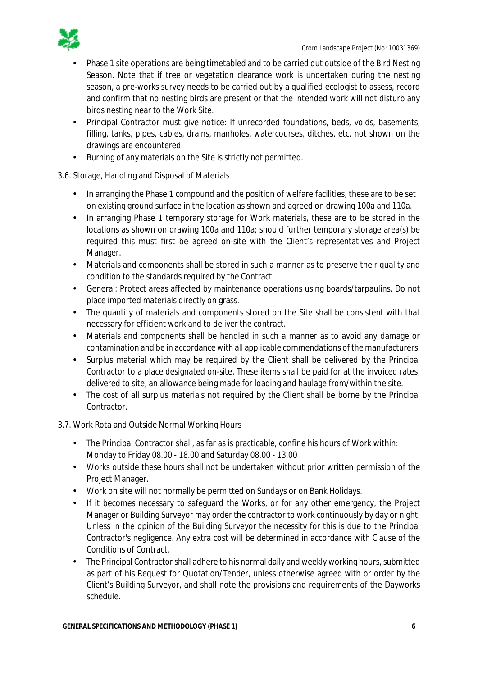

- Phase 1 site operations are being timetabled and to be carried out outside of the Bird Nesting Season. Note that if tree or vegetation clearance work is undertaken during the nesting season, a pre-works survey needs to be carried out by a qualified ecologist to assess, record and confirm that no nesting birds are present or that the intended work will not disturb any birds nesting near to the Work Site.
- Principal Contractor must give notice: If unrecorded foundations, beds, voids, basements,  $\mathcal{L}^{\mathcal{A}}$ filling, tanks, pipes, cables, drains, manholes, watercourses, ditches, etc. not shown on the drawings are encountered.
- Burning of any materials on the Site is strictly not permitted. ä,

## 3.6. Storage, Handling and Disposal of Materials

- In arranging the Phase 1 compound and the position of welfare facilities, these are to be set on existing ground surface in the location as shown and agreed on drawing 100a and 110a.
- In arranging Phase 1 temporary storage for Work materials, these are to be stored in the  $\mathcal{L}^{\mathcal{A}}$ locations as shown on drawing 100a and 110a; should further temporary storage area(s) be required this must first be agreed on-site with the Client's representatives and Project Manager.
- Materials and components shall be stored in such a manner as to preserve their quality and condition to the standards required by the Contract.
- General: Protect areas affected by maintenance operations using boards/tarpaulins. Do not  $\mathbf{r}$ place imported materials directly on grass.
- The quantity of materials and components stored on the Site shall be consistent with that  $\mathcal{L}^{\text{max}}$ necessary for efficient work and to deliver the contract.
- Materials and components shall be handled in such a manner as to avoid any damage or contamination and be in accordance with all applicable commendations of the manufacturers.
- Surplus material which may be required by the Client shall be delivered by the Principal Contractor to a place designated on-site. These items shall be paid for at the invoiced rates, delivered to site, an allowance being made for loading and haulage from/within the site.
- The cost of all surplus materials not required by the Client shall be borne by the Principal Contractor.

## 3.7. Work Rota and Outside Normal Working Hours

- The Principal Contractor shall, as far as is practicable, confine his hours of Work within:  $\mathcal{L}^{\text{max}}$ Monday to Friday 08.00 - 18.00 and Saturday 08.00 - 13.00
- Works outside these hours shall not be undertaken without prior written permission of the Project Manager.
- Work on site will not normally be permitted on Sundays or on Bank Holidays.
- If it becomes necessary to safeguard the Works, or for any other emergency, the Project Manager or Building Surveyor may order the contractor to work continuously by day or night. Unless in the opinion of the Building Surveyor the necessity for this is due to the Principal Contractor's negligence. Any extra cost will be determined in accordance with Clause of the Conditions of Contract.
- The Principal Contractor shall adhere to his normal daily and weekly working hours, submitted as part of his Request for Quotation/Tender, unless otherwise agreed with or order by the Client's Building Surveyor, and shall note the provisions and requirements of the Dayworks schedule.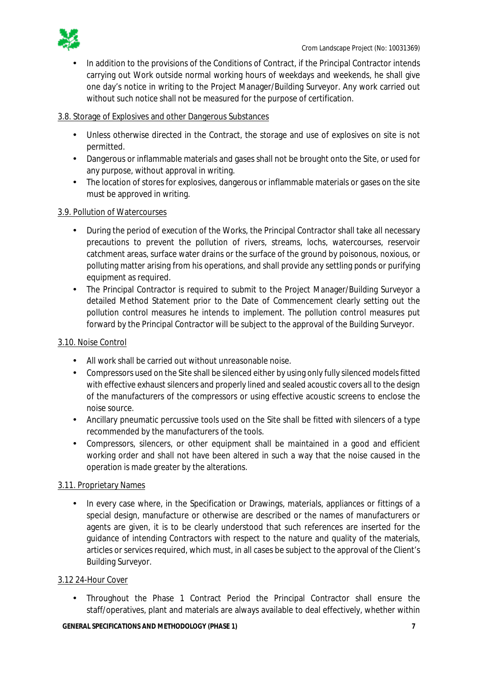

In addition to the provisions of the Conditions of Contract, if the Principal Contractor intends carrying out Work outside normal working hours of weekdays and weekends, he shall give one day's notice in writing to the Project Manager/Building Surveyor. Any work carried out without such notice shall not be measured for the purpose of certification.

### 3.8. Storage of Explosives and other Dangerous Substances

- Unless otherwise directed in the Contract, the storage and use of explosives on site is not permitted.
- Dangerous or inflammable materials and gases shall not be brought onto the Site, or used for  $\mathcal{L}^{\text{max}}$ any purpose, without approval in writing.
- The location of stores for explosives, dangerous or inflammable materials or gases on the site  $\mathcal{L}^{\text{max}}$ must be approved in writing.

## 3.9. Pollution of Watercourses

- During the period of execution of the Works, the Principal Contractor shall take all necessary precautions to prevent the pollution of rivers, streams, lochs, watercourses, reservoir catchment areas, surface water drains or the surface of the ground by poisonous, noxious, or polluting matter arising from his operations, and shall provide any settling ponds or purifying equipment as required.
- The Principal Contractor is required to submit to the Project Manager/Building Surveyor a detailed Method Statement prior to the Date of Commencement clearly setting out the pollution control measures he intends to implement. The pollution control measures put forward by the Principal Contractor will be subject to the approval of the Building Surveyor.

### 3.10. Noise Control

- All work shall be carried out without unreasonable noise.
- Compressors used on the Site shall be silenced either by using only fully silenced models fitted  $\mathcal{L}^{\text{max}}$ with effective exhaust silencers and properly lined and sealed acoustic covers all to the design of the manufacturers of the compressors or using effective acoustic screens to enclose the noise source.
- $\mathcal{L}^{\text{max}}$ Ancillary pneumatic percussive tools used on the Site shall be fitted with silencers of a type recommended by the manufacturers of the tools.
- Compressors, silencers, or other equipment shall be maintained in a good and efficient  $\mathbf{r}$ working order and shall not have been altered in such a way that the noise caused in the operation is made greater by the alterations.

## 3.11. Proprietary Names

In every case where, in the Specification or Drawings, materials, appliances or fittings of a special design, manufacture or otherwise are described or the names of manufacturers or agents are given, it is to be clearly understood that such references are inserted for the guidance of intending Contractors with respect to the nature and quality of the materials, articles or services required, which must, in all cases be subject to the approval of the Client's Building Surveyor.

### 3.12 24-Hour Cover

Throughout the Phase 1 Contract Period the Principal Contractor shall ensure the staff/operatives, plant and materials are always available to deal effectively, whether within

#### **GENERAL SPECIFICATIONS AND METHODOLOGY (PHASE 1) 7**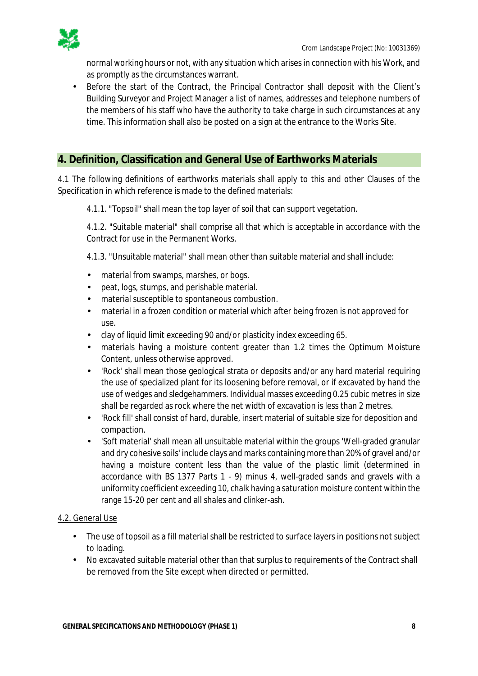

normal working hours or not, with any situation which arises in connection with his Work, and as promptly as the circumstances warrant.

Before the start of the Contract, the Principal Contractor shall deposit with the Client's  $\mathbf{r}$ Building Surveyor and Project Manager a list of names, addresses and telephone numbers of the members of his staff who have the authority to take charge in such circumstances at any time. This information shall also be posted on a sign at the entrance to the Works Site.

## **4. Definition, Classification and General Use of Earthworks Materials**

4.1 The following definitions of earthworks materials shall apply to this and other Clauses of the Specification in which reference is made to the defined materials:

4.1.1. "Topsoil" shall mean the top layer of soil that can support vegetation.

4.1.2. "Suitable material" shall comprise all that which is acceptable in accordance with the Contract for use in the Permanent Works.

4.1.3. "Unsuitable material" shall mean other than suitable material and shall include:

- material from swamps, marshes, or bogs.
- peat, logs, stumps, and perishable material.
- material susceptible to spontaneous combustion.  $\mathbf{r}$
- material in a frozen condition or material which after being frozen is not approved for use.
- clay of liquid limit exceeding 90 and/or plasticity index exceeding 65.  $\mathcal{L}^{\text{max}}$
- materials having a moisture content greater than 1.2 times the Optimum Moisture Content, unless otherwise approved.
- 'Rock' shall mean those geological strata or deposits and/or any hard material requiring the use of specialized plant for its loosening before removal, or if excavated by hand the use of wedges and sledgehammers. Individual masses exceeding 0.25 cubic metres in size shall be regarded as rock where the net width of excavation is less than 2 metres.
- 'Rock fill' shall consist of hard, durable, insert material of suitable size for deposition and compaction.
- 'Soft material' shall mean all unsuitable material within the groups 'Well-graded granular and dry cohesive soils' include clays and marks containing more than 20% of gravel and/or having a moisture content less than the value of the plastic limit (determined in accordance with BS 1377 Parts 1 - 9) minus 4, well-graded sands and gravels with a uniformity coefficient exceeding 10, chalk having a saturation moisture content within the range 15-20 per cent and all shales and clinker-ash.

### 4.2. General Use

- The use of topsoil as a fill material shall be restricted to surface layers in positions not subject to loading.
- No excavated suitable material other than that surplus to requirements of the Contract shall  $\mathbf{r}$ be removed from the Site except when directed or permitted.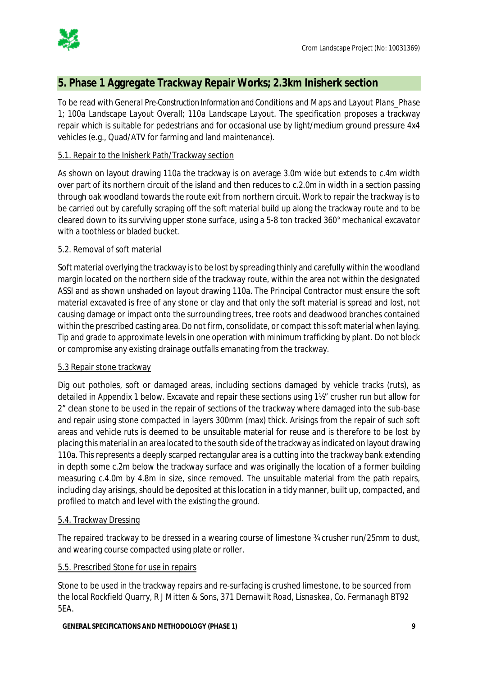

## **5. Phase 1 Aggregate Trackway Repair Works; 2.3km Inisherk section**

To be read with *General Pre-Construction Information and Conditions* and *Maps and Layout Plans\_Phase 1*; *100a Landscape Layout Overall; 110a Landscape Layout*. The specification proposes a trackway repair which is suitable for pedestrians and for occasional use by light/medium ground pressure 4x4 vehicles (e.g., Quad/ATV for farming and land maintenance).

### 5.1. Repair to the Inisherk Path/Trackway section

As shown on layout drawing 110a the trackway is on average 3.0m wide but extends to c.4m width over part of its northern circuit of the island and then reduces to c.2.0m in width in a section passing through oak woodland towards the route exit from northern circuit. Work to repair the trackway is to be carried out by carefully scraping off the soft material build up along the trackway route and to be cleared down to its surviving upper stone surface, using a 5-8 ton tracked 360° mechanical excavator with a toothless or bladed bucket.

### 5.2. Removal of soft material

Soft material overlying the trackway is to be lost by spreading thinly and carefully within the woodland margin located on the northern side of the trackway route, within the area not within the designated ASSI and as shown unshaded on layout drawing 110a. The Principal Contractor must ensure the soft material excavated is free of any stone or clay and that only the soft material is spread and lost, not causing damage or impact onto the surrounding trees, tree roots and deadwood branches contained within the prescribed casting area. Do not firm, consolidate, or compact this soft material when laying. Tip and grade to approximate levels in one operation with minimum trafficking by plant. Do not block or compromise any existing drainage outfalls emanating from the trackway.

### 5.3 Repair stone trackway

Dig out potholes, soft or damaged areas, including sections damaged by vehicle tracks (ruts), as detailed in Appendix 1 below. Excavate and repair these sections using 1½" crusher run but allow for 2" clean stone to be used in the repair of sections of the trackway where damaged into the sub-base and repair using stone compacted in layers 300mm (max) thick. Arisings from the repair of such soft areas and vehicle ruts is deemed to be unsuitable material for reuse and is therefore to be lost by placing this material in an area located to the south side of the trackway as indicated on layout drawing 110a. This represents a deeply scarped rectangular area is a cutting into the trackway bank extending in depth some c.2m below the trackway surface and was originally the location of a former building measuring c.4.0m by 4.8m in size, since removed. The unsuitable material from the path repairs, including clay arisings, should be deposited at this location in a tidy manner, built up, compacted, and profiled to match and level with the existing the ground.

### 5.4. Trackway Dressing

The repaired trackway to be dressed in a wearing course of limestone ¾ crusher run/25mm to dust, and wearing course compacted using plate or roller.

### 5.5. Prescribed Stone for use in repairs

Stone to be used in the trackway repairs and re-surfacing is crushed limestone, to be sourced from the local *Rockfield Quarry, R J Mitten & Sons, 371 Dernawilt Road, Lisnaskea, Co. Fermanagh BT92 5EA*.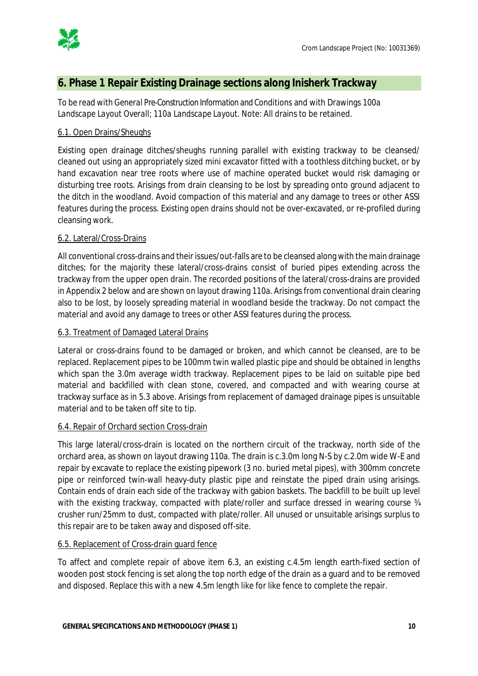

## **6. Phase 1 Repair Existing Drainage sections along Inisherk Trackway**

To be read with *General Pre-Construction Information and Conditions* and with Drawings *100a Landscape Layout Overall; 110a Landscape Layout*. Note: All drains to be retained.

### 6.1. Open Drains/Sheughs

Existing open drainage ditches/sheughs running parallel with existing trackway to be cleansed/ cleaned out using an appropriately sized mini excavator fitted with a toothless ditching bucket, or by hand excavation near tree roots where use of machine operated bucket would risk damaging or disturbing tree roots. Arisings from drain cleansing to be lost by spreading onto ground adjacent to the ditch in the woodland. Avoid compaction of this material and any damage to trees or other ASSI features during the process. Existing open drains should not be over-excavated, or re-profiled during cleansing work.

### 6.2. Lateral/Cross-Drains

All conventional cross-drains and their issues/out-falls are to be cleansed along with the main drainage ditches; for the majority these lateral/cross-drains consist of buried pipes extending across the trackway from the upper open drain. The recorded positions of the lateral/cross-drains are provided in Appendix 2 below and are shown on layout drawing 110a. Arisings from conventional drain clearing also to be lost, by loosely spreading material in woodland beside the trackway. Do not compact the material and avoid any damage to trees or other ASSI features during the process.

### 6.3. Treatment of Damaged Lateral Drains

Lateral or cross-drains found to be damaged or broken, and which cannot be cleansed, are to be replaced. Replacement pipes to be 100mm twin walled plastic pipe and should be obtained in lengths which span the 3.0m average width trackway. Replacement pipes to be laid on suitable pipe bed material and backfilled with clean stone, covered, and compacted and with wearing course at trackway surface as in 5.3 above. Arisings from replacement of damaged drainage pipes is unsuitable material and to be taken off site to tip.

### 6.4. Repair of Orchard section Cross-drain

This large lateral/cross-drain is located on the northern circuit of the trackway, north side of the orchard area, as shown on layout drawing 110a. The drain is c.3.0m long N-S by c.2.0m wide W-E and repair by excavate to replace the existing pipework (3 no. buried metal pipes), with 300mm concrete pipe or reinforced twin-wall heavy-duty plastic pipe and reinstate the piped drain using arisings. Contain ends of drain each side of the trackway with gabion baskets. The backfill to be built up level with the existing trackway, compacted with plate/roller and surface dressed in wearing course 34 crusher run/25mm to dust, compacted with plate/roller. All unused or unsuitable arisings surplus to this repair are to be taken away and disposed off-site.

### 6.5. Replacement of Cross-drain guard fence

To affect and complete repair of above item 6.3, an existing c.4.5m length earth-fixed section of wooden post stock fencing is set along the top north edge of the drain as a guard and to be removed and disposed. Replace this with a new 4.5m length like for like fence to complete the repair.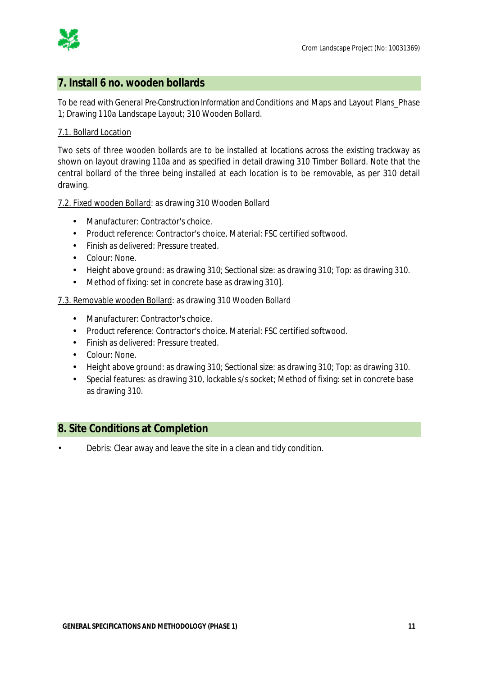

## **7. Install 6 no. wooden bollards**

To be read with *General Pre-Construction Information and Conditions* and Maps and Layout Plans\_Phase 1; Drawing *110a Landscape Layout; 310 Wooden Bollard*.

## 7.1. Bollard Location

Two sets of three wooden bollards are to be installed at locations across the existing trackway as shown on layout drawing 110a and as specified in detail drawing 310 Timber Bollard. Note that the central bollard of the three being installed at each location is to be removable, as per 310 detail drawing.

### 7.2. Fixed wooden Bollard: as drawing 310 Wooden Bollard

- Manufacturer: Contractor's choice.
- Product reference: Contractor's choice. Material: FSC certified softwood.
- Finish as delivered: Pressure treated.
- Colour: None.
- Height above ground: as drawing 310; Sectional size: as drawing 310; Top: as drawing 310.
- $\mathbf{r}$ Method of fixing: set in concrete base as drawing 310].

### 7.3. Removable wooden Bollard: as drawing 310 Wooden Bollard

- Manufacturer: Contractor's choice.
- Product reference: Contractor's choice. Material: FSC certified softwood.  $\mathcal{L}^{\mathcal{L}}$
- Finish as delivered: Pressure treated.
- Colour: None.
- Height above ground: as drawing 310; Sectional size: as drawing 310; Top: as drawing 310.
- Special features: as drawing 310, lockable s/s socket; Method of fixing: set in concrete base as drawing 310.

## **8. Site Conditions at Completion**

• Debris: Clear away and leave the site in a clean and tidy condition.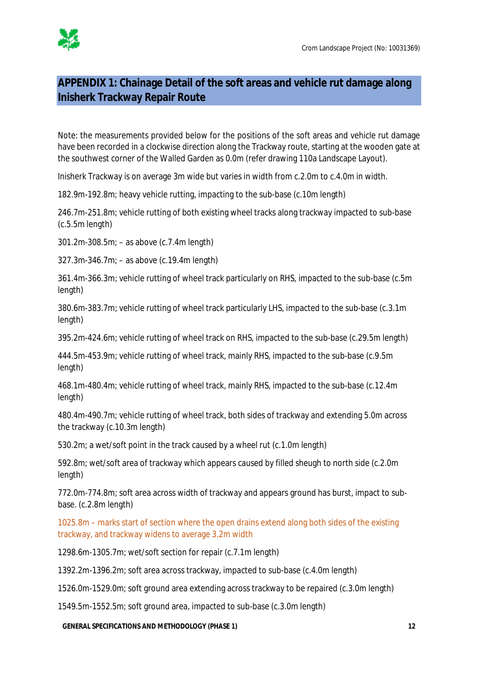

# **APPENDIX 1: Chainage Detail of the soft areas and vehicle rut damage along Inisherk Trackway Repair Route**

Note: the measurements provided below for the positions of the soft areas and vehicle rut damage have been recorded in a clockwise direction along the Trackway route, starting at the wooden gate at the southwest corner of the Walled Garden as 0.0m (refer drawing 110a Landscape Layout).

Inisherk Trackway is on average 3m wide but varies in width from c.2.0m to c.4.0m in width.

182.9m-192.8m; heavy vehicle rutting, impacting to the sub-base (c.10m length)

246.7m-251.8m; vehicle rutting of both existing wheel tracks along trackway impacted to sub-base (c.5.5m length)

301.2m-308.5m; – as above (c.7.4m length)

327.3m-346.7m; – as above (c.19.4m length)

361.4m-366.3m; vehicle rutting of wheel track particularly on RHS, impacted to the sub-base (c.5m length)

380.6m-383.7m; vehicle rutting of wheel track particularly LHS, impacted to the sub-base (c.3.1m length)

395.2m-424.6m; vehicle rutting of wheel track on RHS, impacted to the sub-base (c.29.5m length)

444.5m-453.9m; vehicle rutting of wheel track, mainly RHS, impacted to the sub-base (c.9.5m length)

468.1m-480.4m; vehicle rutting of wheel track, mainly RHS, impacted to the sub-base (c.12.4m length)

480.4m-490.7m; vehicle rutting of wheel track, both sides of trackway and extending 5.0m across the trackway (c.10.3m length)

530.2m; a wet/soft point in the track caused by a wheel rut (c.1.0m length)

592.8m; wet/soft area of trackway which appears caused by filled sheugh to north side (c.2.0m length)

772.0m-774.8m; soft area across width of trackway and appears ground has burst, impact to subbase. (c.2.8m length)

1025.8m – marks start of section where the open drains extend along both sides of the existing trackway, and trackway widens to average 3.2m width

1298.6m-1305.7m; wet/soft section for repair (c.7.1m length)

1392.2m-1396.2m; soft area across trackway, impacted to sub-base (c.4.0m length)

1526.0m-1529.0m; soft ground area extending across trackway to be repaired (c.3.0m length)

1549.5m-1552.5m; soft ground area, impacted to sub-base (c.3.0m length)

**GENERAL SPECIFICATIONS AND METHODOLOGY (PHASE 1) 12**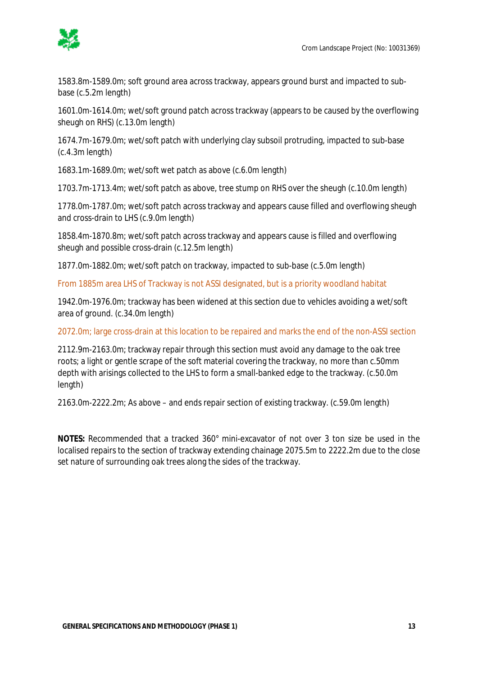

1583.8m-1589.0m; soft ground area across trackway, appears ground burst and impacted to subbase (c.5.2m length)

1601.0m-1614.0m; wet/soft ground patch across trackway (appears to be caused by the overflowing sheugh on RHS) (c.13.0m length)

1674.7m-1679.0m; wet/soft patch with underlying clay subsoil protruding, impacted to sub-base (c.4.3m length)

1683.1m-1689.0m; wet/soft wet patch as above (c.6.0m length)

1703.7m-1713.4m; wet/soft patch as above, tree stump on RHS over the sheugh (c.10.0m length)

1778.0m-1787.0m; wet/soft patch across trackway and appears cause filled and overflowing sheugh and cross-drain to LHS (c.9.0m length)

1858.4m-1870.8m; wet/soft patch across trackway and appears cause is filled and overflowing sheugh and possible cross-drain (c.12.5m length)

1877.0m-1882.0m; wet/soft patch on trackway, impacted to sub-base (c.5.0m length)

From 1885m area LHS of Trackway is not ASSI designated, but is a priority woodland habitat

1942.0m-1976.0m; trackway has been widened at this section due to vehicles avoiding a wet/soft area of ground. (c.34.0m length)

2072.0m; large cross-drain at this location to be repaired and marks the end of the non-ASSI section

2112.9m-2163.0m; trackway repair through this section must avoid any damage to the oak tree roots; a light or gentle scrape of the soft material covering the trackway, no more than c.50mm depth with arisings collected to the LHS to form a small-banked edge to the trackway. (c.50.0m length)

2163.0m-2222.2m; As above – and ends repair section of existing trackway. (c.59.0m length)

**NOTES:** Recommended that a tracked 360° mini-excavator of not over 3 ton size be used in the localised repairs to the section of trackway extending chainage 2075.5m to 2222.2m due to the close set nature of surrounding oak trees along the sides of the trackway.